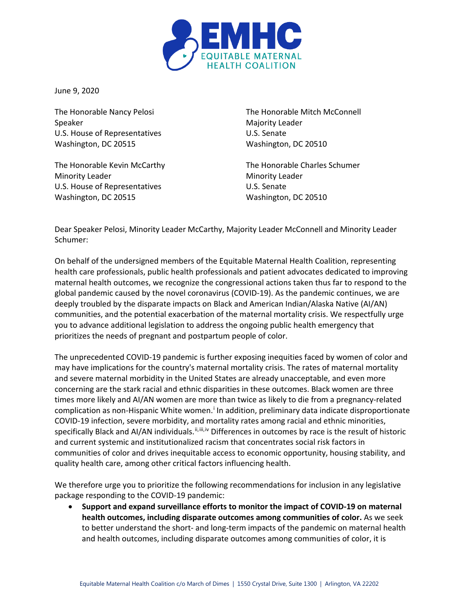

June 9, 2020

The Honorable Nancy Pelosi Speaker U.S. House of Representatives Washington, DC 20515

The Honorable Kevin McCarthy Minority Leader U.S. House of Representatives Washington, DC 20515

The Honorable Mitch McConnell Majority Leader U.S. Senate Washington, DC 20510

The Honorable Charles Schumer Minority Leader U.S. Senate Washington, DC 20510

Dear Speaker Pelosi, Minority Leader McCarthy, Majority Leader McConnell and Minority Leader Schumer:

On behalf of the undersigned members of the Equitable Maternal Health Coalition, representing health care professionals, public health professionals and patient advocates dedicated to improving maternal health outcomes, we recognize the congressional actions taken thus far to respond to the global pandemic caused by the novel coronavirus (COVID-19). As the pandemic continues, we are deeply troubled by the disparate impacts on Black and American Indian/Alaska Native (AI/AN) communities, and the potential exacerbation of the maternal mortality crisis. We respectfully urge you to advance additional legislation to address the ongoing public health emergency that prioritizes the needs of pregnant and postpartum people of color.

The unprecedented COVID-19 pandemic is further exposing inequities faced by women of color and may have implications for the country's maternal mortality crisis. The rates of maternal mortality and severe maternal morbidity in the United States are already unacceptable, and even more concerning are the stark racial and ethnic disparities in these outcomes. Black women are three times more likely and AI/AN women are more than twice as likely to die from a pregnancy-related compl[i](#page-2-0)cation as non-Hispanic White women.<sup>i</sup> In addition, preliminary data indicate disproportionate COVID-19 infection, severe morbidity, and mortality rates among racial and ethnic minorities, specifically Black and AI/AN individuals.<sup>[ii](#page-2-1),[iii,](#page-2-2)[iv](#page-2-3)</sup> Differences in outcomes by race is the result of historic and current systemic and institutionalized racism that concentrates social risk factors in communities of color and drives inequitable access to economic opportunity, housing stability, and quality health care, among other critical factors influencing health.

We therefore urge you to prioritize the following recommendations for inclusion in any legislative package responding to the COVID-19 pandemic:

• **Support and expand surveillance efforts to monitor the impact of COVID-19 on maternal health outcomes, including disparate outcomes among communities of color.** As we seek to better understand the short- and long-term impacts of the pandemic on maternal health and health outcomes, including disparate outcomes among communities of color, it is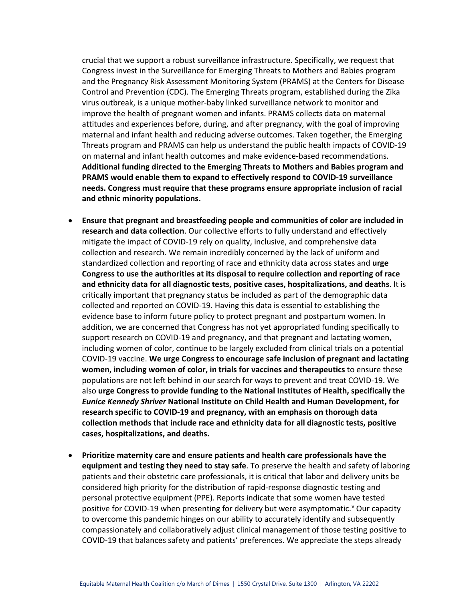crucial that we support a robust surveillance infrastructure. Specifically, we request that Congress invest in the Surveillance for Emerging Threats to Mothers and Babies program and the Pregnancy Risk Assessment Monitoring System (PRAMS) at the Centers for Disease Control and Prevention (CDC). The Emerging Threats program, established during the Zika virus outbreak, is a unique mother-baby linked surveillance network to monitor and improve the health of pregnant women and infants. PRAMS collects data on maternal attitudes and experiences before, during, and after pregnancy, with the goal of improving maternal and infant health and reducing adverse outcomes. Taken together, the Emerging Threats program and PRAMS can help us understand the public health impacts of COVID-19 on maternal and infant health outcomes and make evidence-based recommendations. **Additional funding directed to the Emerging Threats to Mothers and Babies program and PRAMS would enable them to expand to effectively respond to COVID-19 surveillance needs. Congress must require that these programs ensure appropriate inclusion of racial and ethnic minority populations.**

- **Ensure that pregnant and breastfeeding people and communities of color are included in research and data collection**. Our collective efforts to fully understand and effectively mitigate the impact of COVID-19 rely on quality, inclusive, and comprehensive data collection and research. We remain incredibly concerned by the lack of uniform and standardized collection and reporting of race and ethnicity data across states and **urge Congress to use the authorities at its disposal to require collection and reporting of race and ethnicity data for all diagnostic tests, positive cases, hospitalizations, and deaths**. It is critically important that pregnancy status be included as part of the demographic data collected and reported on COVID-19. Having this data is essential to establishing the evidence base to inform future policy to protect pregnant and postpartum women. In addition, we are concerned that Congress has not yet appropriated funding specifically to support research on COVID-19 and pregnancy, and that pregnant and lactating women, including women of color, continue to be largely excluded from clinical trials on a potential COVID-19 vaccine. **We urge Congress to encourage safe inclusion of pregnant and lactating women, including women of color, in trials for vaccines and therapeutics** to ensure these populations are not left behind in our search for ways to prevent and treat COVID-19. We also **urge Congress to provide funding to the National Institutes of Health, specifically the**  *Eunice Kennedy Shriver* **National Institute on Child Health and Human Development, for research specific to COVID-19 and pregnancy, with an emphasis on thorough data collection methods that include race and ethnicity data for all diagnostic tests, positive cases, hospitalizations, and deaths.**
- **Prioritize maternity care and ensure patients and health care professionals have the equipment and testing they need to stay safe**. To preserve the health and safety of laboring patients and their obstetric care professionals, it is critical that labor and delivery units be considered high priority for the distribution of rapid-response diagnostic testing and personal protective equipment (PPE). Reports indicate that some women have tested positi[v](#page-2-4)e for COVID-19 when presenting for delivery but were asymptomatic.<sup>y</sup> Our capacity to overcome this pandemic hinges on our ability to accurately identify and subsequently compassionately and collaboratively adjust clinical management of those testing positive to COVID-19 that balances safety and patients' preferences. We appreciate the steps already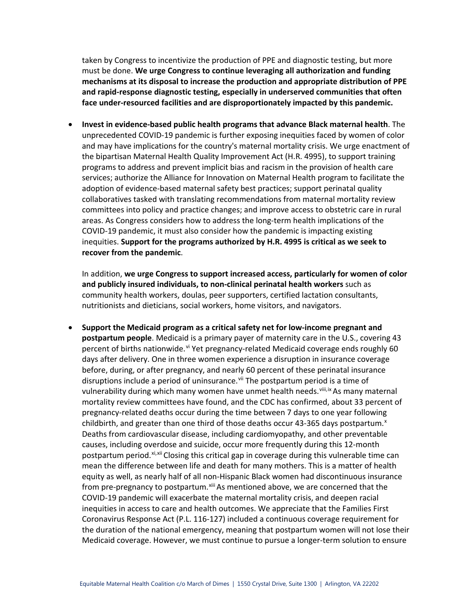<span id="page-2-0"></span>taken by Congress to incentivize the production of PPE and diagnostic testing, but more must be done. **We urge Congress to continue leveraging all authorization and funding mechanisms at its disposal to increase the production and appropriate distribution of PPE and rapid-response diagnostic testing, especially in underserved communities that often face under-resourced facilities and are disproportionately impacted by this pandemic.**

<span id="page-2-4"></span><span id="page-2-3"></span><span id="page-2-2"></span><span id="page-2-1"></span>• **Invest in evidence-based public health programs that advance Black maternal health**. The unprecedented COVID-19 pandemic is further exposing inequities faced by women of color and may have implications for the country's maternal mortality crisis. We urge enactment of the bipartisan Maternal Health Quality Improvement Act (H.R. 4995), to support training programs to address and prevent implicit bias and racism in the provision of health care services; authorize the Alliance for Innovation on Maternal Health program to facilitate the adoption of evidence-based maternal safety best practices; support perinatal quality collaboratives tasked with translating recommendations from maternal mortality review committees into policy and practice changes; and improve access to obstetric care in rural areas. As Congress considers how to address the long-term health implications of the COVID-19 pandemic, it must also consider how the pandemic is impacting existing inequities. **Support for the programs authorized by H.R. 4995 is critical as we seek to recover from the pandemic**.

In addition, **we urge Congress to support increased access, particularly for women of color and publicly insured individuals, to non-clinical perinatal health workers** such as community health workers, doulas, peer supporters, certified lactation consultants, nutritionists and dieticians, social workers, home visitors, and navigators.

• **Support the Medicaid program as a critical safety net for low-income pregnant and postpartum people**. Medicaid is a primary payer of maternity care in the U.S., covering 43 percent of births nationwide.<sup>[vi](#page-3-0)</sup> Yet pregnancy-related Medicaid coverage ends roughly 60 days after delivery. One in three women experience a disruption in insurance coverage before, during, or after pregnancy, and nearly 60 percent of these perinatal insurance disruptions include a period of uninsurance.<sup>[vii](#page-3-1)</sup> The postpartum period is a time of vulnerability during which many women have unmet health needs. Vill, [ix](#page-3-3) As many maternal mortality review committees have found, and the CDC has confirmed, about 33 percent of pregnancy-related deaths occur during the time between 7 days to one year following childbirth, and greater than one third of those deaths occur 43-365 days postpartum. $x$ Deaths from cardiovascular disease, including cardiomyopathy, and other preventable causes, including overdose and suicide, occur more frequently during this 12-month postpartum period.<sup>[xi,](#page-3-5)[xii](#page-3-6)</sup> Closing this critical gap in coverage during this vulnerable time can mean the difference between life and death for many mothers. This is a matter of health equity as well, as nearly half of all non-Hispanic Black women had discontinuous insurance from pre-pregnancy to postpartum.<sup>[xiii](#page-3-7)</sup> As mentioned above, we are concerned that the COVID-19 pandemic will exacerbate the maternal mortality crisis, and deepen racial inequities in access to care and health outcomes. We appreciate that the Families First Coronavirus Response Act (P.L. 116-127) included a continuous coverage requirement for the duration of the national emergency, meaning that postpartum women will not lose their Medicaid coverage. However, we must continue to pursue a longer-term solution to ensure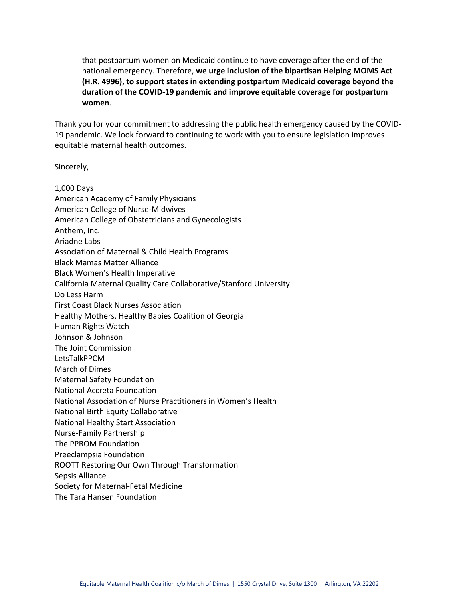that postpartum women on Medicaid continue to have coverage after the end of the national emergency. Therefore, **we urge inclusion of the bipartisan Helping MOMS Act (H.R. 4996), to support states in extending postpartum Medicaid coverage beyond the duration of the COVID-19 pandemic and improve equitable coverage for postpartum women**.

Thank you for your commitment to addressing the public health emergency caused by the COVID-19 pandemic. We look forward to continuing to work with you to ensure legislation improves equitable maternal health outcomes.

Sincerely,

<span id="page-3-7"></span><span id="page-3-6"></span><span id="page-3-5"></span><span id="page-3-4"></span><span id="page-3-3"></span><span id="page-3-2"></span><span id="page-3-1"></span><span id="page-3-0"></span>

| 1,000 Days                                                         |
|--------------------------------------------------------------------|
| American Academy of Family Physicians                              |
| <b>American College of Nurse-Midwives</b>                          |
| American College of Obstetricians and Gynecologists                |
| Anthem, Inc.                                                       |
| Ariadne Labs                                                       |
| Association of Maternal & Child Health Programs                    |
| <b>Black Mamas Matter Alliance</b>                                 |
| <b>Black Women's Health Imperative</b>                             |
| California Maternal Quality Care Collaborative/Stanford University |
| Do Less Harm                                                       |
| <b>First Coast Black Nurses Association</b>                        |
| Healthy Mothers, Healthy Babies Coalition of Georgia               |
| Human Rights Watch                                                 |
| Johnson & Johnson                                                  |
| The Joint Commission                                               |
| LetsTalkPPCM                                                       |
| <b>March of Dimes</b>                                              |
| <b>Maternal Safety Foundation</b>                                  |
| <b>National Accreta Foundation</b>                                 |
| National Association of Nurse Practitioners in Women's Health      |
| National Birth Equity Collaborative                                |
| National Healthy Start Association                                 |
| Nurse-Family Partnership                                           |
| The PPROM Foundation                                               |
| Preeclampsia Foundation                                            |
| ROOTT Restoring Our Own Through Transformation                     |
| Sepsis Alliance                                                    |
| Society for Maternal-Fetal Medicine                                |
| The Tara Hansen Foundation                                         |